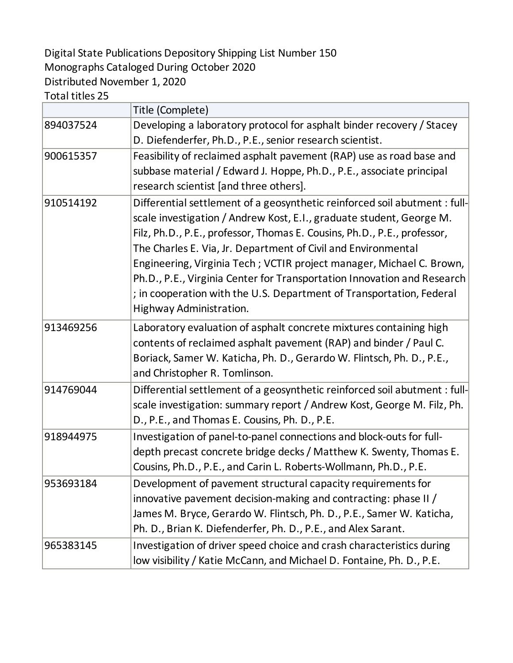## Digital State Publications Depository Shipping List Number 150 Monographs Cataloged During October 2020 Distributed November 1, 2020

Total titles 25

|           | Title (Complete)                                                           |
|-----------|----------------------------------------------------------------------------|
| 894037524 | Developing a laboratory protocol for asphalt binder recovery / Stacey      |
|           | D. Diefenderfer, Ph.D., P.E., senior research scientist.                   |
| 900615357 | Feasibility of reclaimed asphalt pavement (RAP) use as road base and       |
|           | subbase material / Edward J. Hoppe, Ph.D., P.E., associate principal       |
|           | research scientist [and three others].                                     |
| 910514192 | Differential settlement of a geosynthetic reinforced soil abutment : full- |
|           | scale investigation / Andrew Kost, E.I., graduate student, George M.       |
|           | Filz, Ph.D., P.E., professor, Thomas E. Cousins, Ph.D., P.E., professor,   |
|           | The Charles E. Via, Jr. Department of Civil and Environmental              |
|           | Engineering, Virginia Tech; VCTIR project manager, Michael C. Brown,       |
|           | Ph.D., P.E., Virginia Center for Transportation Innovation and Research    |
|           | ; in cooperation with the U.S. Department of Transportation, Federal       |
|           | Highway Administration.                                                    |
| 913469256 | Laboratory evaluation of asphalt concrete mixtures containing high         |
|           | contents of reclaimed asphalt pavement (RAP) and binder / Paul C.          |
|           | Boriack, Samer W. Katicha, Ph. D., Gerardo W. Flintsch, Ph. D., P.E.,      |
|           | and Christopher R. Tomlinson.                                              |
| 914769044 | Differential settlement of a geosynthetic reinforced soil abutment : full- |
|           | scale investigation: summary report / Andrew Kost, George M. Filz, Ph.     |
|           | D., P.E., and Thomas E. Cousins, Ph. D., P.E.                              |
| 918944975 | Investigation of panel-to-panel connections and block-outs for full-       |
|           | depth precast concrete bridge decks / Matthew K. Swenty, Thomas E.         |
|           | Cousins, Ph.D., P.E., and Carin L. Roberts-Wollmann, Ph.D., P.E.           |
| 953693184 | Development of pavement structural capacity requirements for               |
|           | innovative pavement decision-making and contracting: phase II /            |
|           | James M. Bryce, Gerardo W. Flintsch, Ph. D., P.E., Samer W. Katicha,       |
|           | Ph. D., Brian K. Diefenderfer, Ph. D., P.E., and Alex Sarant.              |
| 965383145 | Investigation of driver speed choice and crash characteristics during      |
|           | low visibility / Katie McCann, and Michael D. Fontaine, Ph. D., P.E.       |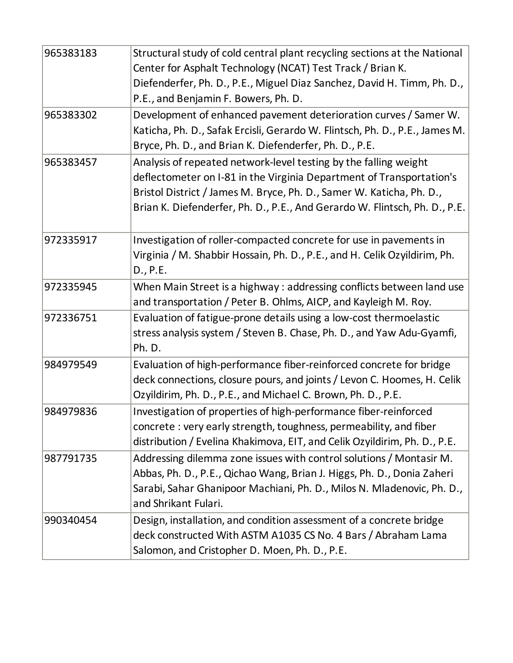| 965383183 | Structural study of cold central plant recycling sections at the National<br>Center for Asphalt Technology (NCAT) Test Track / Brian K.<br>Diefenderfer, Ph. D., P.E., Miguel Diaz Sanchez, David H. Timm, Ph. D.,<br>P.E., and Benjamin F. Bowers, Ph. D.                                     |
|-----------|------------------------------------------------------------------------------------------------------------------------------------------------------------------------------------------------------------------------------------------------------------------------------------------------|
| 965383302 | Development of enhanced pavement deterioration curves / Samer W.<br>Katicha, Ph. D., Safak Ercisli, Gerardo W. Flintsch, Ph. D., P.E., James M.<br>Bryce, Ph. D., and Brian K. Diefenderfer, Ph. D., P.E.                                                                                      |
| 965383457 | Analysis of repeated network-level testing by the falling weight<br>deflectometer on I-81 in the Virginia Department of Transportation's<br>Bristol District / James M. Bryce, Ph. D., Samer W. Katicha, Ph. D.,<br>Brian K. Diefenderfer, Ph. D., P.E., And Gerardo W. Flintsch, Ph. D., P.E. |
| 972335917 | Investigation of roller-compacted concrete for use in pavements in<br>Virginia / M. Shabbir Hossain, Ph. D., P.E., and H. Celik Ozyildirim, Ph.<br>D., P.E.                                                                                                                                    |
| 972335945 | When Main Street is a highway : addressing conflicts between land use<br>and transportation / Peter B. Ohlms, AICP, and Kayleigh M. Roy.                                                                                                                                                       |
| 972336751 | Evaluation of fatigue-prone details using a low-cost thermoelastic<br>stress analysis system / Steven B. Chase, Ph. D., and Yaw Adu-Gyamfi,<br>Ph. D.                                                                                                                                          |
| 984979549 | Evaluation of high-performance fiber-reinforced concrete for bridge<br>deck connections, closure pours, and joints / Levon C. Hoomes, H. Celik<br>Ozyildirim, Ph. D., P.E., and Michael C. Brown, Ph. D., P.E.                                                                                 |
| 984979836 | Investigation of properties of high-performance fiber-reinforced<br>concrete: very early strength, toughness, permeability, and fiber<br>distribution / Evelina Khakimova, EIT, and Celik Ozyildirim, Ph. D., P.E.                                                                             |
| 987791735 | Addressing dilemma zone issues with control solutions / Montasir M.<br>Abbas, Ph. D., P.E., Qichao Wang, Brian J. Higgs, Ph. D., Donia Zaheri<br>Sarabi, Sahar Ghanipoor Machiani, Ph. D., Milos N. Mladenovic, Ph. D.,<br>and Shrikant Fulari.                                                |
| 990340454 | Design, installation, and condition assessment of a concrete bridge<br>deck constructed With ASTM A1035 CS No. 4 Bars / Abraham Lama<br>Salomon, and Cristopher D. Moen, Ph. D., P.E.                                                                                                          |